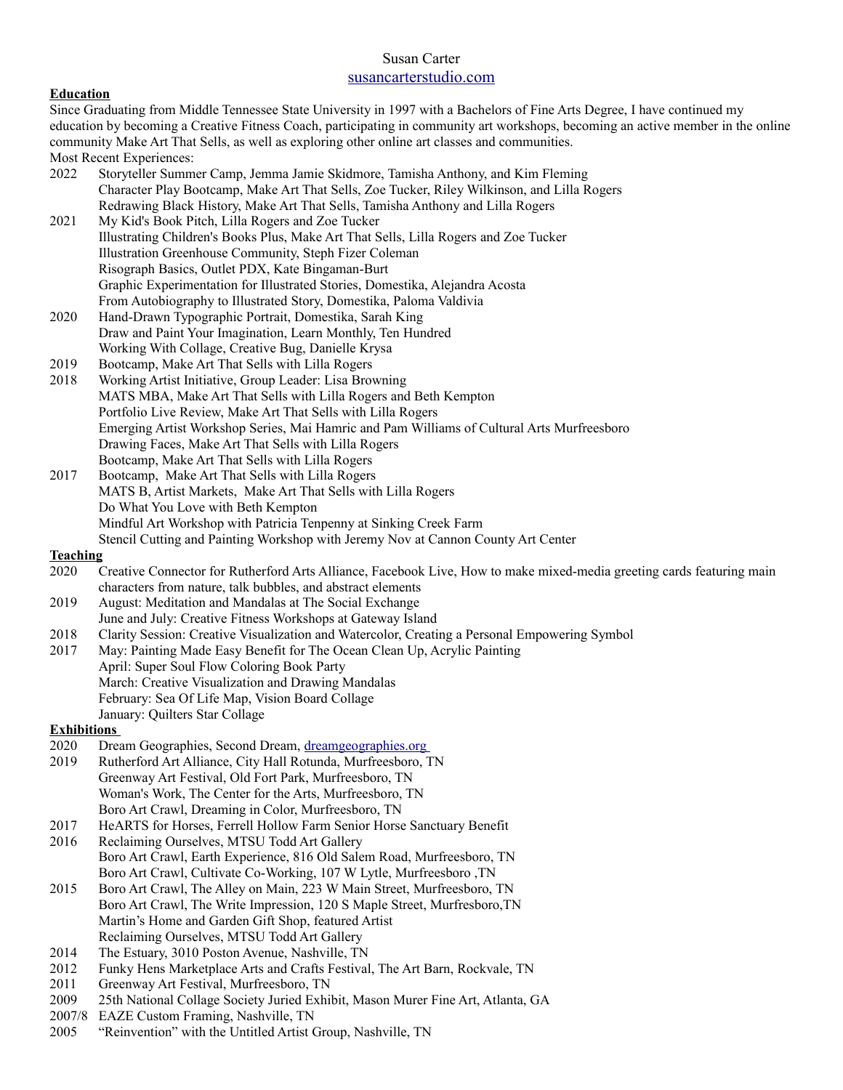## Susan Carter [susancarterstudio.com](http://susancarterstudio.com/)

## **Education**

| <b>Education</b>                                                                                                          |                                                                                                                                   |
|---------------------------------------------------------------------------------------------------------------------------|-----------------------------------------------------------------------------------------------------------------------------------|
| Since Graduating from Middle Tennessee State University in 1997 with a Bachelors of Fine Arts Degree, I have continued my |                                                                                                                                   |
|                                                                                                                           | education by becoming a Creative Fitness Coach, participating in community art workshops, becoming an active member in the online |
| community Make Art That Sells, as well as exploring other online art classes and communities.                             |                                                                                                                                   |
|                                                                                                                           | Most Recent Experiences:                                                                                                          |
| 2022                                                                                                                      | Storyteller Summer Camp, Jemma Jamie Skidmore, Tamisha Anthony, and Kim Fleming                                                   |
|                                                                                                                           | Character Play Bootcamp, Make Art That Sells, Zoe Tucker, Riley Wilkinson, and Lilla Rogers                                       |
|                                                                                                                           | Redrawing Black History, Make Art That Sells, Tamisha Anthony and Lilla Rogers                                                    |
| 2021                                                                                                                      | My Kid's Book Pitch, Lilla Rogers and Zoe Tucker                                                                                  |
|                                                                                                                           | Illustrating Children's Books Plus, Make Art That Sells, Lilla Rogers and Zoe Tucker                                              |
|                                                                                                                           | Illustration Greenhouse Community, Steph Fizer Coleman                                                                            |
|                                                                                                                           | Risograph Basics, Outlet PDX, Kate Bingaman-Burt                                                                                  |
|                                                                                                                           | Graphic Experimentation for Illustrated Stories, Domestika, Alejandra Acosta                                                      |
|                                                                                                                           | From Autobiography to Illustrated Story, Domestika, Paloma Valdivia                                                               |
| 2020                                                                                                                      | Hand-Drawn Typographic Portrait, Domestika, Sarah King                                                                            |
|                                                                                                                           | Draw and Paint Your Imagination, Learn Monthly, Ten Hundred                                                                       |
|                                                                                                                           | Working With Collage, Creative Bug, Danielle Krysa                                                                                |
| 2019                                                                                                                      | Bootcamp, Make Art That Sells with Lilla Rogers                                                                                   |
| 2018                                                                                                                      | Working Artist Initiative, Group Leader: Lisa Browning                                                                            |
|                                                                                                                           | MATS MBA, Make Art That Sells with Lilla Rogers and Beth Kempton                                                                  |
|                                                                                                                           | Portfolio Live Review, Make Art That Sells with Lilla Rogers                                                                      |
|                                                                                                                           | Emerging Artist Workshop Series, Mai Hamric and Pam Williams of Cultural Arts Murfreesboro                                        |
|                                                                                                                           | Drawing Faces, Make Art That Sells with Lilla Rogers                                                                              |
| 2017                                                                                                                      | Bootcamp, Make Art That Sells with Lilla Rogers<br>Bootcamp, Make Art That Sells with Lilla Rogers                                |
|                                                                                                                           | MATS B, Artist Markets, Make Art That Sells with Lilla Rogers                                                                     |
|                                                                                                                           | Do What You Love with Beth Kempton                                                                                                |
|                                                                                                                           | Mindful Art Workshop with Patricia Tenpenny at Sinking Creek Farm                                                                 |
|                                                                                                                           | Stencil Cutting and Painting Workshop with Jeremy Nov at Cannon County Art Center                                                 |
| <b>Teaching</b>                                                                                                           |                                                                                                                                   |
| 2020                                                                                                                      | Creative Connector for Rutherford Arts Alliance, Facebook Live, How to make mixed-media greeting cards featuring main             |
|                                                                                                                           | characters from nature, talk bubbles, and abstract elements                                                                       |
| 2019                                                                                                                      | August: Meditation and Mandalas at The Social Exchange                                                                            |
|                                                                                                                           | June and July: Creative Fitness Workshops at Gateway Island                                                                       |
| 2018                                                                                                                      | Clarity Session: Creative Visualization and Watercolor, Creating a Personal Empowering Symbol                                     |
| 2017                                                                                                                      | May: Painting Made Easy Benefit for The Ocean Clean Up, Acrylic Painting                                                          |
|                                                                                                                           | April: Super Soul Flow Coloring Book Party                                                                                        |
|                                                                                                                           | March: Creative Visualization and Drawing Mandalas                                                                                |
|                                                                                                                           | February: Sea Of Life Map, Vision Board Collage                                                                                   |
|                                                                                                                           | January: Quilters Star Collage                                                                                                    |
| <b>Exhibitions</b>                                                                                                        |                                                                                                                                   |
| 2020                                                                                                                      | Dream Geographies, Second Dream, dreamgeographies.org                                                                             |
| 2019                                                                                                                      | Rutherford Art Alliance, City Hall Rotunda, Murfreesboro, TN                                                                      |
|                                                                                                                           | Greenway Art Festival, Old Fort Park, Murfreesboro, TN                                                                            |
|                                                                                                                           | Woman's Work, The Center for the Arts, Murfreesboro, TN                                                                           |
|                                                                                                                           | Boro Art Crawl, Dreaming in Color, Murfreesboro, TN                                                                               |
| 2017                                                                                                                      | HeARTS for Horses, Ferrell Hollow Farm Senior Horse Sanctuary Benefit                                                             |
| 2016                                                                                                                      | Reclaiming Ourselves, MTSU Todd Art Gallery                                                                                       |
|                                                                                                                           | Boro Art Crawl, Earth Experience, 816 Old Salem Road, Murfreesboro, TN                                                            |
|                                                                                                                           | Boro Art Crawl, Cultivate Co-Working, 107 W Lytle, Murfreesboro ,TN                                                               |
| 2015                                                                                                                      | Boro Art Crawl, The Alley on Main, 223 W Main Street, Murfreesboro, TN                                                            |
|                                                                                                                           | Boro Art Crawl, The Write Impression, 120 S Maple Street, Murfresboro, TN                                                         |
|                                                                                                                           | Martin's Home and Garden Gift Shop, featured Artist                                                                               |
|                                                                                                                           | Reclaiming Ourselves, MTSU Todd Art Gallery                                                                                       |
| 2014                                                                                                                      | The Estuary, 3010 Poston Avenue, Nashville, TN                                                                                    |
| 2012                                                                                                                      | Funky Hens Marketplace Arts and Crafts Festival, The Art Barn, Rockvale, TN                                                       |
| $2011$                                                                                                                    | $-1$ $-1$ $-1$                                                                                                                    |

- 2011 Greenway Art Festival, Murfreesboro, TN
- 2009 25th National Collage Society Juried Exhibit, Mason Murer Fine Art, Atlanta, GA
- 2007/8 EAZE Custom Framing, Nashville, TN
- 2005 "Reinvention" with the Untitled Artist Group, Nashville, TN